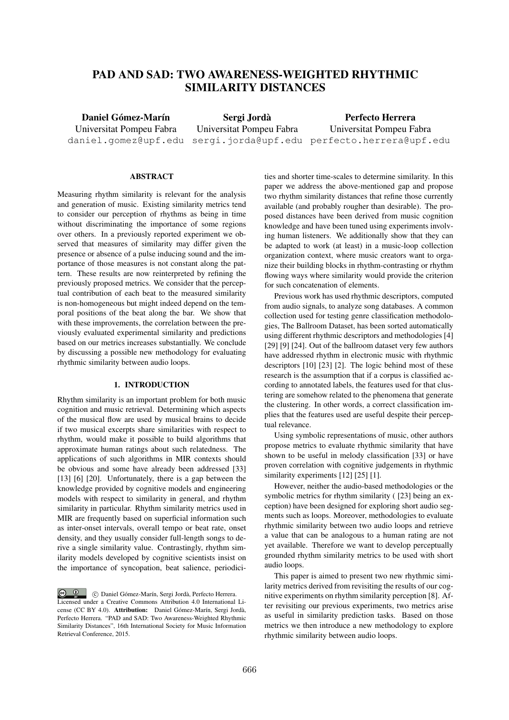# PAD AND SAD: TWO AWARENESS-WEIGHTED RHYTHMIC SIMILARITY DISTANCES

Daniel Gómez-Marín Universitat Pompeu Fabra daniel.gomez@upf.edu

Sergi Jorda` Universitat Pompeu Fabra

sergi.jorda@upf.edu perfecto.herrera@upf.edu Perfecto Herrera Universitat Pompeu Fabra

# **ABSTRACT**

Measuring rhythm similarity is relevant for the analysis and generation of music. Existing similarity metrics tend to consider our perception of rhythms as being in time without discriminating the importance of some regions over others. In a previously reported experiment we observed that measures of similarity may differ given the presence or absence of a pulse inducing sound and the importance of those measures is not constant along the pattern. These results are now reinterpreted by refining the previously proposed metrics. We consider that the perceptual contribution of each beat to the measured similarity is non-homogeneous but might indeed depend on the temporal positions of the beat along the bar. We show that with these improvements, the correlation between the previously evaluated experimental similarity and predictions based on our metrics increases substantially. We conclude by discussing a possible new methodology for evaluating rhythmic similarity between audio loops.

# 1. INTRODUCTION

Rhythm similarity is an important problem for both music cognition and music retrieval. Determining which aspects of the musical flow are used by musical brains to decide if two musical excerpts share similarities with respect to rhythm, would make it possible to build algorithms that approximate human ratings about such relatedness. The applications of such algorithms in MIR contexts should be obvious and some have already been addressed [33] [13] [6] [20]. Unfortunately, there is a gap between the knowledge provided by cognitive models and engineering models with respect to similarity in general, and rhythm similarity in particular. Rhythm similarity metrics used in MIR are frequently based on superficial information such as inter-onset intervals, overall tempo or beat rate, onset density, and they usually consider full-length songs to derive a single similarity value. Contrastingly, rhythm similarity models developed by cognitive scientists insist on the importance of syncopation, beat salience, periodici-

 $\circled{c}$   $\circled{d}$   $\circled{c}$  Daniel Gómez-Marín, Sergi Jordà, Perfecto Herrera. Licensed under a Creative Commons Attribution 4.0 International License (CC BY 4.0). Attribution: Daniel Gómez-Marín, Sergi Jordà, Perfecto Herrera. "PAD and SAD: Two Awareness-Weighted Rhythmic Similarity Distances", 16th International Society for Music Information Retrieval Conference, 2015.

ties and shorter time-scales to determine similarity. In this paper we address the above-mentioned gap and propose two rhythm similarity distances that refine those currently available (and probably rougher than desirable). The proposed distances have been derived from music cognition knowledge and have been tuned using experiments involving human listeners. We additionally show that they can be adapted to work (at least) in a music-loop collection organization context, where music creators want to organize their building blocks in rhythm-contrasting or rhythm flowing ways where similarity would provide the criterion for such concatenation of elements.

Previous work has used rhythmic descriptors, computed from audio signals, to analyze song databases. A common collection used for testing genre classification methodologies, The Ballroom Dataset, has been sorted automatically using different rhythmic descriptors and methodologies [4] [29] [9] [24]. Out of the ballroom dataset very few authors have addressed rhythm in electronic music with rhythmic descriptors [10] [23] [2]. The logic behind most of these research is the assumption that if a corpus is classified according to annotated labels, the features used for that clustering are somehow related to the phenomena that generate the clustering. In other words, a correct classification implies that the features used are useful despite their perceptual relevance.

Using symbolic representations of music, other authors propose metrics to evaluate rhythmic similarity that have shown to be useful in melody classification [33] or have proven correlation with cognitive judgements in rhythmic similarity experiments [12] [25] [1].

However, neither the audio-based methodologies or the symbolic metrics for rhythm similarity ( [23] being an exception) have been designed for exploring short audio segments such as loops. Moreover, methodologies to evaluate rhythmic similarity between two audio loops and retrieve a value that can be analogous to a human rating are not yet available. Therefore we want to develop perceptually grounded rhythm similarity metrics to be used with short audio loops.

This paper is aimed to present two new rhythmic similarity metrics derived from revisiting the results of our cognitive experiments on rhythm similarity perception [8]. After revisiting our previous experiments, two metrics arise as useful in similarity prediction tasks. Based on those metrics we then introduce a new methodology to explore rhythmic similarity between audio loops.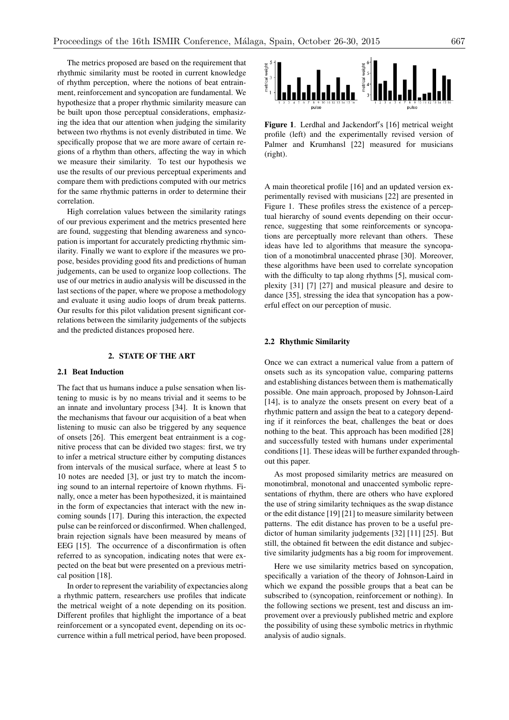The metrics proposed are based on the requirement that rhythmic similarity must be rooted in current knowledge of rhythm perception, where the notions of beat entrainment, reinforcement and syncopation are fundamental. We hypothesize that a proper rhythmic similarity measure can be built upon those perceptual considerations, emphasizing the idea that our attention when judging the similarity between two rhythms is not evenly distributed in time. We specifically propose that we are more aware of certain regions of a rhythm than others, affecting the way in which we measure their similarity. To test our hypothesis we use the results of our previous perceptual experiments and compare them with predictions computed with our metrics for the same rhythmic patterns in order to determine their correlation.

High correlation values between the similarity ratings of our previous experiment and the metrics presented here are found, suggesting that blending awareness and syncopation is important for accurately predicting rhythmic similarity. Finally we want to explore if the measures we propose, besides providing good fits and predictions of human judgements, can be used to organize loop collections. The use of our metrics in audio analysis will be discussed in the last sections of the paper, where we propose a methodology and evaluate it using audio loops of drum break patterns. Our results for this pilot validation present significant correlations between the similarity judgements of the subjects and the predicted distances proposed here.

# 2. STATE OF THE ART

#### 2.1 Beat Induction

The fact that us humans induce a pulse sensation when listening to music is by no means trivial and it seems to be an innate and involuntary process [34]. It is known that the mechanisms that favour our acquisition of a beat when listening to music can also be triggered by any sequence of onsets [26]. This emergent beat entrainment is a cognitive process that can be divided two stages: first, we try to infer a metrical structure either by computing distances from intervals of the musical surface, where at least 5 to 10 notes are needed [3], or just try to match the incoming sound to an internal repertoire of known rhythms. Finally, once a meter has been hypothesized, it is maintained in the form of expectancies that interact with the new incoming sounds [17]. During this interaction, the expected pulse can be reinforced or disconfirmed. When challenged, brain rejection signals have been measured by means of EEG [15]. The occurrence of a disconfirmation is often referred to as syncopation, indicating notes that were expected on the beat but were presented on a previous metrical position [18].

In order to represent the variability of expectancies along a rhythmic pattern, researchers use profiles that indicate the metrical weight of a note depending on its position. Different profiles that highlight the importance of a beat reinforcement or a syncopated event, depending on its occurrence within a full metrical period, have been proposed.



Figure 1. Lerdhal and Jackendorf's [16] metrical weight profile (left) and the experimentally revised version of Palmer and Krumhansl [22] measured for musicians (right).

A main theoretical profile [16] and an updated version experimentally revised with musicians [22] are presented in Figure 1. These profiles stress the existence of a perceptual hierarchy of sound events depending on their occurrence, suggesting that some reinforcements or syncopations are perceptually more relevant than others. These ideas have led to algorithms that measure the syncopation of a monotimbral unaccented phrase [30]. Moreover, these algorithms have been used to correlate syncopation with the difficulty to tap along rhythms [5], musical complexity [31] [7] [27] and musical pleasure and desire to dance [35], stressing the idea that syncopation has a powerful effect on our perception of music.

#### 2.2 Rhythmic Similarity

Once we can extract a numerical value from a pattern of onsets such as its syncopation value, comparing patterns and establishing distances between them is mathematically possible. One main approach, proposed by Johnson-Laird [14], is to analyze the onsets present on every beat of a rhythmic pattern and assign the beat to a category depending if it reinforces the beat, challenges the beat or does nothing to the beat. This approach has been modified [28] and successfully tested with humans under experimental conditions [1]. These ideas will be further expanded throughout this paper.

As most proposed similarity metrics are measured on monotimbral, monotonal and unaccented symbolic representations of rhythm, there are others who have explored the use of string similarity techniques as the swap distance or the edit distance [19] [21] to measure similarity between patterns. The edit distance has proven to be a useful predictor of human similarity judgements [32] [11] [25]. But still, the obtained fit between the edit distance and subjective similarity judgments has a big room for improvement.

Here we use similarity metrics based on syncopation, specifically a variation of the theory of Johnson-Laird in which we expand the possible groups that a beat can be subscribed to (syncopation, reinforcement or nothing). In the following sections we present, test and discuss an improvement over a previously published metric and explore the possibility of using these symbolic metrics in rhythmic analysis of audio signals.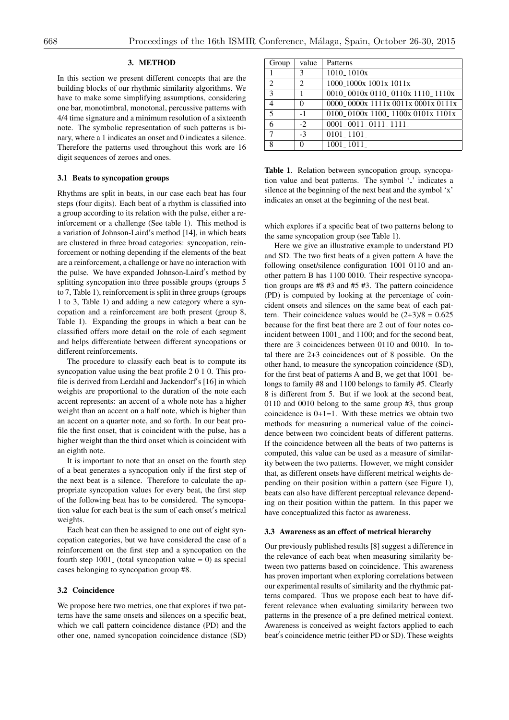## 3. METHOD

In this section we present different concepts that are the building blocks of our rhythmic similarity algorithms. We have to make some simplifying assumptions, considering one bar, monotimbral, monotonal, percussive patterns with 4/4 time signature and a minimum resolution of a sixteenth note. The symbolic representation of such patterns is binary, where a 1 indicates an onset and 0 indicates a silence. Therefore the patterns used throughout this work are 16 digit sequences of zeroes and ones.

## 3.1 Beats to syncopation groups

Rhythms are split in beats, in our case each beat has four steps (four digits). Each beat of a rhythm is classified into a group according to its relation with the pulse, either a reinforcement or a challenge (See table 1). This method is a variation of Johnson-Laird's method [14], in which beats are clustered in three broad categories: syncopation, reinforcement or nothing depending if the elements of the beat are a reinforcement, a challenge or have no interaction with the pulse. We have expanded Johnson-Laird's method by splitting syncopation into three possible groups (groups 5) to 7, Table 1), reinforcement is split in three groups (groups 1 to 3, Table 1) and adding a new category where a syncopation and a reinforcement are both present (group 8, Table 1). Expanding the groups in which a beat can be classified offers more detail on the role of each segment and helps differentiate between different syncopations or different reinforcements.

The procedure to classify each beat is to compute its syncopation value using the beat profile 2 0 1 0. This profile is derived from Lerdahl and Jackendorf's [16] in which weights are proportional to the duration of the note each accent represents: an accent of a whole note has a higher weight than an accent on a half note, which is higher than an accent on a quarter note, and so forth. In our beat profile the first onset, that is coincident with the pulse, has a higher weight than the third onset which is coincident with an eighth note.

It is important to note that an onset on the fourth step of a beat generates a syncopation only if the first step of the next beat is a silence. Therefore to calculate the appropriate syncopation values for every beat, the first step of the following beat has to be considered. The syncopation value for each beat is the sum of each onset's metrical weights.

Each beat can then be assigned to one out of eight syncopation categories, but we have considered the case of a reinforcement on the first step and a syncopation on the fourth step  $1001$  (total syncopation value = 0) as special cases belonging to syncopation group #8.

#### 3.2 Coincidence

We propose here two metrics, one that explores if two patterns have the same onsets and silences on a specific beat, which we call pattern coincidence distance (PD) and the other one, named syncopation coincidence distance (SD)

| Group          | value | Patterns                                                                                                    |
|----------------|-------|-------------------------------------------------------------------------------------------------------------|
|                | 3     | $1010 - 1010x$                                                                                              |
| $\overline{c}$ | 2     | 1000 <sub>-1</sub> 000x 1001x 1011x                                                                         |
| 3              |       | 0010 0010x 0110 0110x 1110 1110x                                                                            |
| 4              | 0     | 0000 <sub>-</sub> 0000 <sub>x</sub> 1111 <sub>x</sub> 0011 <sub>x</sub> 0001 <sub>x</sub> 0111 <sub>x</sub> |
| 5              | $-1$  | 0100 <sub>-</sub> 0100x 1100 <sub>-</sub> 1100x 0101x 1101x                                                 |
| 6              | $-2$  | $0001 - 0011 - 0111 - 1111$                                                                                 |
| 7              | $-3$  | $0101 - 1101$                                                                                               |
| 8              | 0     | $1001 - 1011$                                                                                               |

Table 1. Relation between syncopation group, syncopation value and beat patterns. The symbol  $\cdot$  ' indicates a silence at the beginning of the next beat and the symbol 'x' indicates an onset at the beginning of the nest beat.

which explores if a specific beat of two patterns belong to the same syncopation group (see Table 1).

Here we give an illustrative example to understand PD and SD. The two first beats of a given pattern A have the following onset/silence configuration 1001 0110 and another pattern B has 1100 0010. Their respective syncopation groups are #8 #3 and #5 #3. The pattern coincidence (PD) is computed by looking at the percentage of coincident onsets and silences on the same beat of each pattern. Their coincidence values would be  $(2+3)/8 = 0.625$ because for the first beat there are 2 out of four notes coincident between 1001<sub>-</sub> and 1100; and for the second beat, there are 3 coincidences between 0110 and 0010. In total there are 2+3 coincidences out of 8 possible. On the other hand, to measure the syncopation coincidence (SD), for the first beat of patterns A and B, we get that  $1001$  belongs to family #8 and 1100 belongs to family #5. Clearly 8 is different from 5. But if we look at the second beat, 0110 and 0010 belong to the same group #3, thus group coincidence is  $0+1=1$ . With these metrics we obtain two methods for measuring a numerical value of the coincidence between two coincident beats of different patterns. If the coincidence between all the beats of two patterns is computed, this value can be used as a measure of similarity between the two patterns. However, we might consider that, as different onsets have different metrical weights depending on their position within a pattern (see Figure 1), beats can also have different perceptual relevance depending on their position within the pattern. In this paper we have conceptualized this factor as awareness.

#### 3.3 Awareness as an effect of metrical hierarchy

Our previously published results [8] suggest a difference in the relevance of each beat when measuring similarity between two patterns based on coincidence. This awareness has proven important when exploring correlations between our experimental results of similarity and the rhythmic patterns compared. Thus we propose each beat to have different relevance when evaluating similarity between two patterns in the presence of a pre defined metrical context. Awareness is conceived as weight factors applied to each beat's coincidence metric (either PD or SD). These weights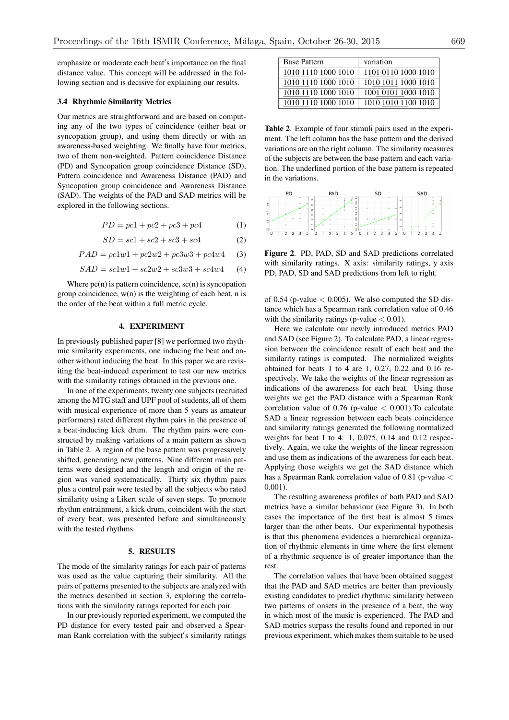emphasize or moderate each beat's importance on the final distance value. This concept will be addressed in the following section and is decisive for explaining our results.

#### 3.4 Rhythmic Similarity Metrics

Our metrics are straightforward and are based on computing any of the two types of coincidence (either beat or syncopation group), and using them directly or with an awareness-based weighting. We finally have four metrics, two of them non-weighted. Pattern coincidence Distance (PD) and Syncopation group coincidence Distance (SD), Pattern coincidence and Awareness Distance (PAD) and Syncopation group coincidence and Awareness Distance (SAD). The weights of the PAD and SAD metrics will be explored in the following sections.

$$
PD = pc1 + pc2 + pc3 + pc4 \tag{1}
$$

$$
SD = sc1 + sc2 + sc3 + sc4 \tag{2}
$$

 $PAD = pc1w1 + pc2w2 + pc3w3 + pc4w4$  (3)

$$
SAD = sc1w1 + sc2w2 + sc3w3 + sc4w4 \qquad (4)
$$

Where  $pc(n)$  is pattern coincidence,  $sc(n)$  is syncopation group coincidence, w(n) is the weighting of each beat, n is the order of the beat within a full metric cycle.

## 4. EXPERIMENT

In previously published paper [8] we performed two rhythmic similarity experiments, one inducing the beat and another without inducing the beat. In this paper we are revisiting the beat-induced experiment to test our new metrics with the similarity ratings obtained in the previous one.

In one of the experiments, twenty one subjects (recruited among the MTG staff and UPF pool of students, all of them with musical experience of more than 5 years as amateur performers) rated different rhythm pairs in the presence of a beat-inducing kick drum. The rhythm pairs were constructed by making variations of a main pattern as shown in Table 2. A region of the base pattern was progressively shifted, generating new patterns. Nine different main patterns were designed and the length and origin of the region was varied systematically. Thirty six rhythm pairs plus a control pair were tested by all the subjects who rated similarity using a Likert scale of seven steps. To promote rhythm entrainment, a kick drum, coincident with the start of every beat, was presented before and simultaneously with the tested rhythms.

#### 5. RESULTS

The mode of the similarity ratings for each pair of patterns was used as the value capturing their similarity. All the pairs of patterns presented to the subjects are analyzed with the metrics described in section 3, exploring the correlations with the similarity ratings reported for each pair.

In our previously reported experiment, we computed the PD distance for every tested pair and observed a Spearman Rank correlation with the subject's similarity ratings

| <b>Base Pattern</b> | variation           |
|---------------------|---------------------|
| 1010 1110 1000 1010 | 1101 0110 1000 1010 |
| 1010 1110 1000 1010 | 1010 1011 1000 1010 |
| 1010 1110 1000 1010 | 1001 0101 1000 1010 |
| 1010 1110 1000 1010 | 1010 1010 1100 1010 |

Table 2. Example of four stimuli pairs used in the experiment. The left column has the base pattern and the derived variations are on the right column. The similarity measures of the subjects are between the base pattern and each variation. The underlined portion of the base pattern is repeated in the variations.



Figure 2. PD, PAD, SD and SAD predictions correlated with similarity ratings. X axis: similarity ratings, y axis PD, PAD, SD and SAD predictions from left to right.

of 0.54 (p-value  $<$  0.005). We also computed the SD distance which has a Spearman rank correlation value of 0.46 with the similarity ratings (p-value *<* 0.01).

Here we calculate our newly introduced metrics PAD and SAD (see Figure 2). To calculate PAD, a linear regression between the coincidence result of each beat and the similarity ratings is computed. The normalized weights obtained for beats 1 to 4 are 1, 0.27, 0.22 and 0.16 respectively. We take the weights of the linear regression as indications of the awareness for each beat. Using those weights we get the PAD distance with a Spearman Rank correlation value of 0.76 (p-value *<* 0.001).To calculate SAD a linear regression between each beats coincidence and similarity ratings generated the following normalized weights for beat 1 to 4: 1, 0.075, 0.14 and 0.12 respectively. Again, we take the weights of the linear regression and use them as indications of the awareness for each beat. Applying those weights we get the SAD distance which has a Spearman Rank correlation value of 0.81 (p-value *<* 0.001).

The resulting awareness profiles of both PAD and SAD metrics have a similar behaviour (see Figure 3). In both cases the importance of the first beat is almost 5 times larger than the other beats. Our experimental hypothesis is that this phenomena evidences a hierarchical organization of rhythmic elements in time where the first element of a rhythmic sequence is of greater importance than the rest.

The correlation values that have been obtained suggest that the PAD and SAD metrics are better than previously existing candidates to predict rhythmic similarity between two patterns of onsets in the presence of a beat, the way in which most of the music is experienced. The PAD and SAD metrics surpass the results found and reported in our previous experiment, which makes them suitable to be used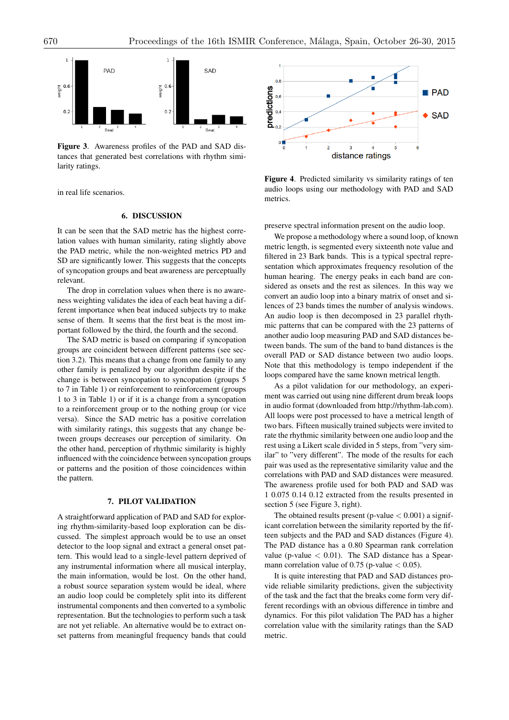

Figure 3. Awareness profiles of the PAD and SAD distances that generated best correlations with rhythm similarity ratings.

in real life scenarios.

## 6. DISCUSSION

It can be seen that the SAD metric has the highest correlation values with human similarity, rating slightly above the PAD metric, while the non-weighted metrics PD and SD are significantly lower. This suggests that the concepts of syncopation groups and beat awareness are perceptually relevant.

The drop in correlation values when there is no awareness weighting validates the idea of each beat having a different importance when beat induced subjects try to make sense of them. It seems that the first beat is the most important followed by the third, the fourth and the second.

The SAD metric is based on comparing if syncopation groups are coincident between different patterns (see section 3.2). This means that a change from one family to any other family is penalized by our algorithm despite if the change is between syncopation to syncopation (groups 5 to 7 in Table 1) or reinforcement to reinforcement (groups 1 to 3 in Table 1) or if it is a change from a syncopation to a reinforcement group or to the nothing group (or vice versa). Since the SAD metric has a positive correlation with similarity ratings, this suggests that any change between groups decreases our perception of similarity. On the other hand, perception of rhythmic similarity is highly influenced with the coincidence between syncopation groups or patterns and the position of those coincidences within the pattern.

# 7. PILOT VALIDATION

A straightforward application of PAD and SAD for exploring rhythm-similarity-based loop exploration can be discussed. The simplest approach would be to use an onset detector to the loop signal and extract a general onset pattern. This would lead to a single-level pattern deprived of any instrumental information where all musical interplay, the main information, would be lost. On the other hand, a robust source separation system would be ideal, where an audio loop could be completely split into its different instrumental components and then converted to a symbolic representation. But the technologies to perform such a task are not yet reliable. An alternative would be to extract onset patterns from meaningful frequency bands that could



Figure 4. Predicted similarity vs similarity ratings of ten audio loops using our methodology with PAD and SAD metrics.

preserve spectral information present on the audio loop.

We propose a methodology where a sound loop, of known metric length, is segmented every sixteenth note value and filtered in 23 Bark bands. This is a typical spectral representation which approximates frequency resolution of the human hearing. The energy peaks in each band are considered as onsets and the rest as silences. In this way we convert an audio loop into a binary matrix of onset and silences of 23 bands times the number of analysis windows. An audio loop is then decomposed in 23 parallel rhythmic patterns that can be compared with the 23 patterns of another audio loop measuring PAD and SAD distances between bands. The sum of the band to band distances is the overall PAD or SAD distance between two audio loops. Note that this methodology is tempo independent if the loops compared have the same known metrical length.

As a pilot validation for our methodology, an experiment was carried out using nine different drum break loops in audio format (downloaded from http://rhythm-lab.com). All loops were post processed to have a metrical length of two bars. Fifteen musically trained subjects were invited to rate the rhythmic similarity between one audio loop and the rest using a Likert scale divided in 5 steps, from "very similar" to "very different". The mode of the results for each pair was used as the representative similarity value and the correlations with PAD and SAD distances were measured. The awareness profile used for both PAD and SAD was 1 0.075 0.14 0.12 extracted from the results presented in section 5 (see Figure 3, right).

The obtained results present (p-value *<* 0.001) a significant correlation between the similarity reported by the fifteen subjects and the PAD and SAD distances (Figure 4). The PAD distance has a 0.80 Spearman rank correlation value (p-value *<* 0.01). The SAD distance has a Spearmann correlation value of 0.75 (p-value *<* 0.05).

It is quite interesting that PAD and SAD distances provide reliable similarity predictions, given the subjectivity of the task and the fact that the breaks come form very different recordings with an obvious difference in timbre and dynamics. For this pilot validation The PAD has a higher correlation value with the similarity ratings than the SAD metric.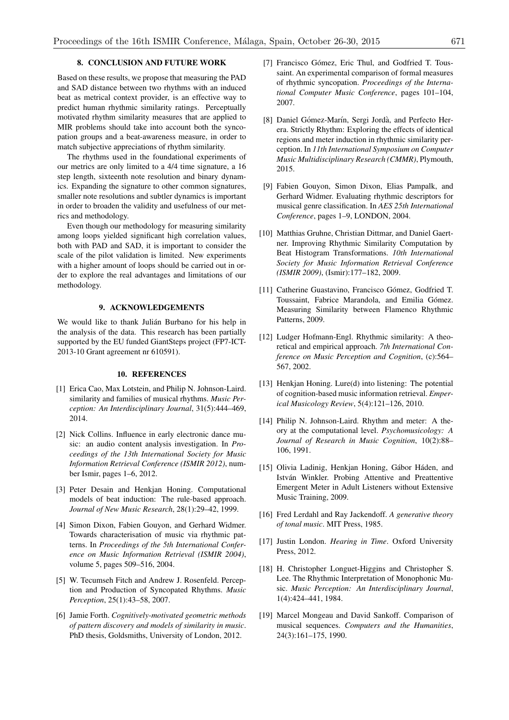# 8. CONCLUSION AND FUTURE WORK

Based on these results, we propose that measuring the PAD and SAD distance between two rhythms with an induced beat as metrical context provider, is an effective way to predict human rhythmic similarity ratings. Perceptually motivated rhythm similarity measures that are applied to MIR problems should take into account both the syncopation groups and a beat-awareness measure, in order to match subjective appreciations of rhythm similarity.

The rhythms used in the foundational experiments of our metrics are only limited to a 4/4 time signature, a 16 step length, sixteenth note resolution and binary dynamics. Expanding the signature to other common signatures, smaller note resolutions and subtler dynamics is important in order to broaden the validity and usefulness of our metrics and methodology.

Even though our methodology for measuring similarity among loops yielded significant high correlation values, both with PAD and SAD, it is important to consider the scale of the pilot validation is limited. New experiments with a higher amount of loops should be carried out in order to explore the real advantages and limitations of our methodology.

# 9. ACKNOWLEDGEMENTS

We would like to thank Julián Burbano for his help in the analysis of the data. This research has been partially supported by the EU funded GiantSteps project (FP7-ICT-2013-10 Grant agreement nr 610591).

## 10. REFERENCES

- [1] Erica Cao, Max Lotstein, and Philip N. Johnson-Laird. similarity and families of musical rhythms. *Music Perception: An Interdisciplinary Journal*, 31(5):444–469, 2014.
- [2] Nick Collins. Influence in early electronic dance music: an audio content analysis investigation. In *Proceedings of the 13th International Society for Music Information Retrieval Conference (ISMIR 2012)*, number Ismir, pages 1–6, 2012.
- [3] Peter Desain and Henkjan Honing. Computational models of beat induction: The rule-based approach. *Journal of New Music Research*, 28(1):29–42, 1999.
- [4] Simon Dixon, Fabien Gouyon, and Gerhard Widmer. Towards characterisation of music via rhythmic patterns. In *Proceedings of the 5th International Conference on Music Information Retrieval (ISMIR 2004)*, volume 5, pages 509–516, 2004.
- [5] W. Tecumseh Fitch and Andrew J. Rosenfeld. Perception and Production of Syncopated Rhythms. *Music Perception*, 25(1):43–58, 2007.
- [6] Jamie Forth. *Cognitively-motivated geometric methods of pattern discovery and models of similarity in music*. PhD thesis, Goldsmiths, University of London, 2012.
- [7] Francisco Gómez, Eric Thul, and Godfried T. Toussaint. An experimental comparison of formal measures of rhythmic syncopation. *Proceedings of the International Computer Music Conference*, pages 101–104, 2007.
- [8] Daniel Gómez-Marín, Sergi Jordà, and Perfecto Herera. Strictly Rhythm: Exploring the effects of identical regions and meter induction in rhythmic similarity perception. In *11th International Symposium on Computer Music Multidisciplinary Research (CMMR)*, Plymouth, 2015.
- [9] Fabien Gouyon, Simon Dixon, Elias Pampalk, and Gerhard Widmer. Evaluating rhythmic descriptors for musical genre classification. In *AES 25th International Conference*, pages 1–9, LONDON, 2004.
- [10] Matthias Gruhne, Christian Dittmar, and Daniel Gaertner. Improving Rhythmic Similarity Computation by Beat Histogram Transformations. *10th International Society for Music Information Retrieval Conference (ISMIR 2009)*, (Ismir):177–182, 2009.
- [11] Catherine Guastavino, Francisco Gómez, Godfried T. Toussaint, Fabrice Marandola, and Emilia Gómez. Measuring Similarity between Flamenco Rhythmic Patterns, 2009.
- [12] Ludger Hofmann-Engl. Rhythmic similarity: A theoretical and empirical approach. *7th International Conference on Music Perception and Cognition*, (c):564– 567, 2002.
- [13] Henkjan Honing. Lure(d) into listening: The potential of cognition-based music information retrieval. *Emperical Musicology Review*, 5(4):121–126, 2010.
- [14] Philip N. Johnson-Laird. Rhythm and meter: A theory at the computational level. *Psychomusicology: A Journal of Research in Music Cognition*, 10(2):88– 106, 1991.
- [15] Olivia Ladinig, Henkjan Honing, Gábor Háden, and István Winkler. Probing Attentive and Preattentive Emergent Meter in Adult Listeners without Extensive Music Training, 2009.
- [16] Fred Lerdahl and Ray Jackendoff. *A generative theory of tonal music*. MIT Press, 1985.
- [17] Justin London. *Hearing in Time*. Oxford University Press, 2012.
- [18] H. Christopher Longuet-Higgins and Christopher S. Lee. The Rhythmic Interpretation of Monophonic Music. *Music Perception: An Interdisciplinary Journal*, 1(4):424–441, 1984.
- [19] Marcel Mongeau and David Sankoff. Comparison of musical sequences. *Computers and the Humanities*, 24(3):161–175, 1990.